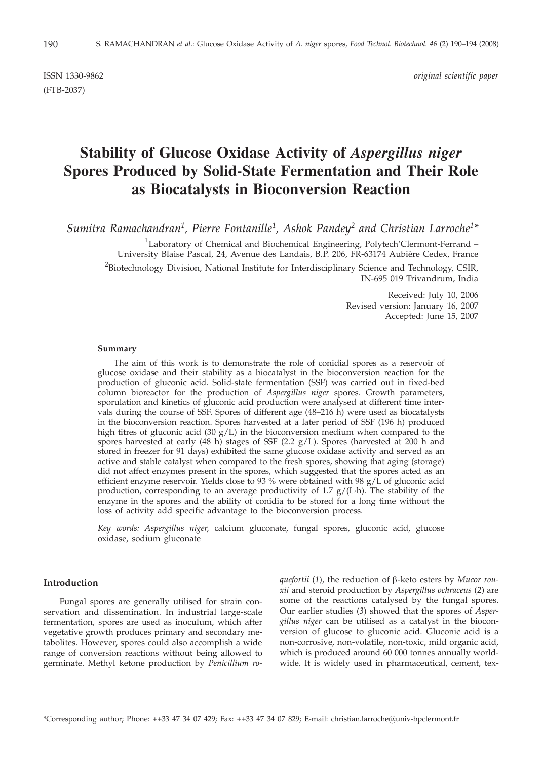(FTB-2037)

ISSN 1330-9862 *original scientific paper*

# **Stability of Glucose Oxidase Activity of** *Aspergillus niger* **Spores Produced by Solid-State Fermentation and Their Role as Biocatalysts in Bioconversion Reaction**

*Sumitra Ramachandran1, Pierre Fontanille1, Ashok Pandey2 and Christian Larroche1\**

<sup>1</sup>Laboratory of Chemical and Biochemical Engineering, Polytech'Clermont-Ferrand -University Blaise Pascal, 24, Avenue des Landais, B.P. 206, FR-63174 Aubière Cedex, France

<sup>2</sup>Biotechnology Division, National Institute for Interdisciplinary Science and Technology, CSIR, IN-695 019 Trivandrum, India

> Received: July 10, 2006 Revised version: January 16, 2007 Accepted: June 15, 2007

#### **Summary**

The aim of this work is to demonstrate the role of conidial spores as a reservoir of glucose oxidase and their stability as a biocatalyst in the bioconversion reaction for the production of gluconic acid. Solid-state fermentation (SSF) was carried out in fixed-bed column bioreactor for the production of *Aspergillus niger* spores. Growth parameters, sporulation and kinetics of gluconic acid production were analysed at different time intervals during the course of SSF. Spores of different age (48–216 h) were used as biocatalysts in the bioconversion reaction. Spores harvested at a later period of SSF (196 h) produced high titres of gluconic acid (30  $g/L$ ) in the bioconversion medium when compared to the spores harvested at early (48 h) stages of SSF (2.2 g/L). Spores (harvested at 200 h and stored in freezer for 91 days) exhibited the same glucose oxidase activity and served as an active and stable catalyst when compared to the fresh spores, showing that aging (storage) did not affect enzymes present in the spores, which suggested that the spores acted as an efficient enzyme reservoir. Yields close to 93 % were obtained with 98  $g/\hat{L}$  of gluconic acid production, corresponding to an average productivity of 1.7  $g/(L \cdot h)$ . The stability of the enzyme in the spores and the ability of conidia to be stored for a long time without the loss of activity add specific advantage to the bioconversion process.

*Key words: Aspergillus niger,* calcium gluconate, fungal spores, gluconic acid, glucose oxidase, sodium gluconate

## **Introduction**

Fungal spores are generally utilised for strain conservation and dissemination. In industrial large-scale fermentation, spores are used as inoculum, which after vegetative growth produces primary and secondary metabolites. However, spores could also accomplish a wide range of conversion reactions without being allowed to germinate. Methyl ketone production by *Penicillium ro-* *quefortii* (*1*), the reduction of b-keto esters by *Mucor rouxii* and steroid production by *Aspergillus ochraceus* (*2*) are some of the reactions catalysed by the fungal spores. Our earlier studies (*3*) showed that the spores of *Aspergillus niger* can be utilised as a catalyst in the bioconversion of glucose to gluconic acid. Gluconic acid is a non-corrosive, non-volatile, non-toxic, mild organic acid, which is produced around 60 000 tonnes annually worldwide. It is widely used in pharmaceutical, cement, tex-

<sup>\*</sup>Corresponding author; Phone: ++33 47 34 07 429; Fax: ++33 47 34 07 829; E-mail: christian.larroche*@*univ-bpclermont.fr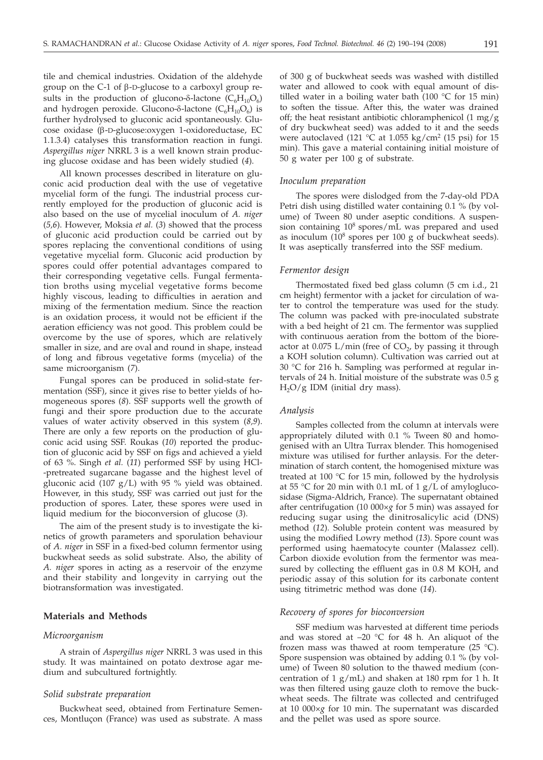tile and chemical industries. Oxidation of the aldehyde group on the C-1 of  $\beta$ -D-glucose to a carboxyl group results in the production of glucono- $\delta$ -lactone ( $C_6H_{10}O_6$ ) and hydrogen peroxide. Glucono- $\delta$ -lactone ( $C_6H_{10}O_6$ ) is further hydrolysed to gluconic acid spontaneously. Glucose oxidase (b-D-glucose:oxygen 1-oxidoreductase, EC 1.1.3.4) catalyses this transformation reaction in fungi. *Aspergillus niger* NRRL 3 is a well known strain producing glucose oxidase and has been widely studied (*4*).

All known processes described in literature on gluconic acid production deal with the use of vegetative mycelial form of the fungi*.* The industrial process currently employed for the production of gluconic acid is also based on the use of mycelial inoculum of *A. niger* (*5,6*). However, Moksia *et al.* (*3*) showed that the process of gluconic acid production could be carried out by spores replacing the conventional conditions of using vegetative mycelial form. Gluconic acid production by spores could offer potential advantages compared to their corresponding vegetative cells. Fungal fermentation broths using mycelial vegetative forms become highly viscous, leading to difficulties in aeration and mixing of the fermentation medium. Since the reaction is an oxidation process, it would not be efficient if the aeration efficiency was not good. This problem could be overcome by the use of spores, which are relatively smaller in size, and are oval and round in shape, instead of long and fibrous vegetative forms (mycelia) of the same microorganism (*7*).

Fungal spores can be produced in solid-state fermentation (SSF), since it gives rise to better yields of homogeneous spores (*8*). SSF supports well the growth of fungi and their spore production due to the accurate values of water activity observed in this system (*8,9*). There are only a few reports on the production of gluconic acid using SSF. Roukas (*10*) reported the production of gluconic acid by SSF on figs and achieved a yield of 63 %. Singh *et al.* (*11*) performed SSF by using HCl- -pretreated sugarcane bagasse and the highest level of gluconic acid (107  $g/L$ ) with 95 % yield was obtained. However, in this study, SSF was carried out just for the production of spores. Later, these spores were used in liquid medium for the bioconversion of glucose (*3*).

The aim of the present study is to investigate the kinetics of growth parameters and sporulation behaviour of *A. niger* in SSF in a fixed-bed column fermentor using buckwheat seeds as solid substrate. Also, the ability of *A. niger* spores in acting as a reservoir of the enzyme and their stability and longevity in carrying out the biotransformation was investigated.

# **Materials and Methods**

# *Microorganism*

A strain of *Aspergillus niger* NRRL 3 was used in this study. It was maintained on potato dextrose agar medium and subcultured fortnightly.

#### *Solid substrate preparation*

Buckwheat seed, obtained from Fertinature Semences, Montluçon (France) was used as substrate. A mass of 300 g of buckwheat seeds was washed with distilled water and allowed to cook with equal amount of distilled water in a boiling water bath (100 °C for 15 min) to soften the tissue. After this, the water was drained off; the heat resistant antibiotic chloramphenicol (1 mg/g of dry buckwheat seed) was added to it and the seeds were autoclaved (121 °C at 1.055 kg/cm<sup>2</sup> (15 psi) for 15 min). This gave a material containing initial moisture of 50 g water per 100 g of substrate.

#### *Inoculum preparation*

The spores were dislodged from the 7-day-old PDA Petri dish using distilled water containing 0.1 % (by volume) of Tween 80 under aseptic conditions. A suspension containing 10<sup>8</sup> spores/mL was prepared and used as inoculum  $(10^8$  spores per 100 g of buckwheat seeds). It was aseptically transferred into the SSF medium.

#### *Fermentor design*

Thermostated fixed bed glass column (5 cm i.d., 21 cm height) fermentor with a jacket for circulation of water to control the temperature was used for the study. The column was packed with pre-inoculated substrate with a bed height of 21 cm. The fermentor was supplied with continuous aeration from the bottom of the bioreactor at 0.075 L/min (free of  $CO<sub>2</sub>$ , by passing it through a KOH solution column). Cultivation was carried out at 30 °C for 216 h. Sampling was performed at regular intervals of 24 h. Initial moisture of the substrate was 0.5 g  $H<sub>2</sub>O/g$  IDM (initial dry mass).

#### *Analysis*

Samples collected from the column at intervals were appropriately diluted with 0.1 % Tween 80 and homogenised with an Ultra Turrax blender. This homogenised mixture was utilised for further anlaysis. For the determination of starch content, the homogenised mixture was treated at 100 °C for 15 min, followed by the hydrolysis at 55 °C for 20 min with 0.1 mL of 1  $g/L$  of amyloglucosidase (Sigma-Aldrich, France). The supernatant obtained after centrifugation (10 000×*g* for 5 min) was assayed for reducing sugar using the dinitrosalicylic acid (DNS) method (*12*)*.* Soluble protein content was measured by using the modified Lowry method (*13*). Spore count was performed using haematocyte counter (Malassez cell). Carbon dioxide evolution from the fermentor was measured by collecting the effluent gas in 0.8 M KOH, and periodic assay of this solution for its carbonate content using titrimetric method was done (*14*).

#### *Recovery of spores for bioconversion*

SSF medium was harvested at different time periods and was stored at –20 °C for 48 h. An aliquot of the frozen mass was thawed at room temperature  $(25 \text{ }^{\circ}C)$ . Spore suspension was obtained by adding 0.1 % (by volume) of Tween 80 solution to the thawed medium (concentration of  $1 g/mL$  and shaken at 180 rpm for 1 h. It was then filtered using gauze cloth to remove the buckwheat seeds. The filtrate was collected and centrifuged at 10 000×*g* for 10 min. The supernatant was discarded and the pellet was used as spore source.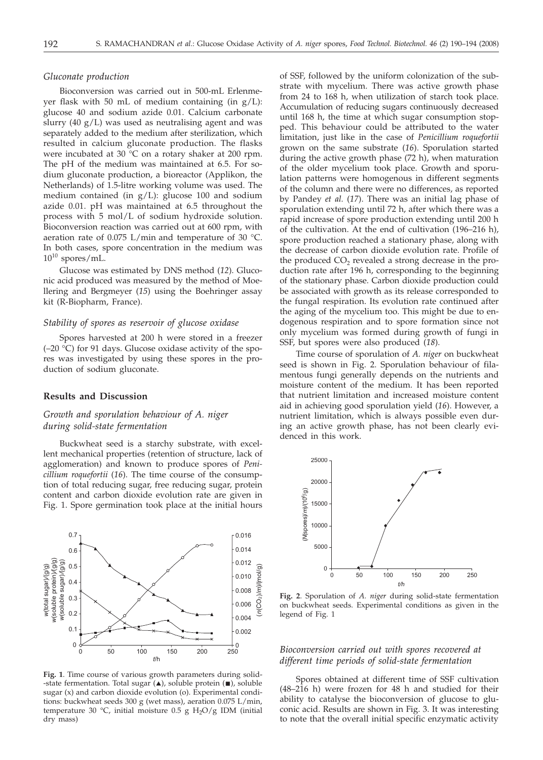## *Gluconate production*

Bioconversion was carried out in 500-mL Erlenmeyer flask with 50 mL of medium containing (in  $g/L$ ): glucose 40 and sodium azide 0.01. Calcium carbonate slurry (40  $g/L$ ) was used as neutralising agent and was separately added to the medium after sterilization, which resulted in calcium gluconate production. The flasks were incubated at 30 °C on a rotary shaker at 200 rpm. The pH of the medium was maintained at 6.5. For sodium gluconate production, a bioreactor (Applikon, the Netherlands) of 1.5-litre working volume was used. The medium contained (in g/L): glucose 100 and sodium azide 0.01. pH was maintained at 6.5 throughout the process with 5 mol/L of sodium hydroxide solution. Bioconversion reaction was carried out at 600 rpm, with aeration rate of 0.075 L/min and temperature of 30 °C. In both cases, spore concentration in the medium was  $10^{10}$  spores/mL.

Glucose was estimated by DNS method (*12*). Gluconic acid produced was measured by the method of Moellering and Bergmeyer (*15*) using the Boehringer assay kit (R-Biopharm, France).

## *Stability of spores as reservoir of glucose oxidase*

Spores harvested at 200 h were stored in a freezer (–20 °C) for 91 days. Glucose oxidase activity of the spores was investigated by using these spores in the production of sodium gluconate.

#### **Results and Discussion**

# *Growth and sporulation behaviour of A. niger during solid-state fermentation*

Buckwheat seed is a starchy substrate, with excellent mechanical properties (retention of structure, lack of agglomeration) and known to produce spores of *Penicillium roquefortii* (*16*). The time course of the consumption of total reducing sugar, free reducing sugar, protein content and carbon dioxide evolution rate are given in Fig. 1. Spore germination took place at the initial hours



**Fig. 1**. Time course of various growth parameters during solid- -state fermentation. Total sugar  $(\triangle)$ , soluble protein  $(\blacksquare)$ , soluble sugar (x) and carbon dioxide evolution (o). Experimental conditions: buckwheat seeds 300 g (wet mass), aeration 0.075 L/min, temperature 30 °C, initial moisture 0.5 g  $H_2O/g$  IDM (initial dry mass)

of SSF, followed by the uniform colonization of the substrate with mycelium. There was active growth phase from 24 to 168 h, when utilization of starch took place. Accumulation of reducing sugars continuously decreased until 168 h, the time at which sugar consumption stopped. This behaviour could be attributed to the water limitation, just like in the case of *Penicillium roquefortii* grown on the same substrate (*16*). Sporulation started during the active growth phase (72 h), when maturation of the older mycelium took place. Growth and sporulation patterns were homogenous in different segments of the column and there were no differences, as reported by Pandey *et al.* (*17*). There was an initial lag phase of sporulation extending until 72 h, after which there was a rapid increase of spore production extending until 200 h of the cultivation. At the end of cultivation (196–216 h), spore production reached a stationary phase, along with the decrease of carbon dioxide evolution rate. Profile of the produced CO<sub>2</sub> revealed a strong decrease in the production rate after 196 h, corresponding to the beginning of the stationary phase. Carbon dioxide production could be associated with growth as its release corresponded to the fungal respiration. Its evolution rate continued after the aging of the mycelium too. This might be due to endogenous respiration and to spore formation since not only mycelium was formed during growth of fungi in SSF, but spores were also produced (*18*).

Time course of sporulation of *A. niger* on buckwheat seed is shown in Fig. 2. Sporulation behaviour of filamentous fungi generally depends on the nutrients and moisture content of the medium. It has been reported that nutrient limitation and increased moisture content aid in achieving good sporulation yield (*16*). However, a nutrient limitation, which is always possible even during an active growth phase, has not been clearly evidenced in this work.



**Fig. 2**. Sporulation of *A. niger* during solid-state fermentation on buckwheat seeds. Experimental conditions as given in the legend of Fig. 1

# *Bioconversion carried out with spores recovered at different time periods of solid-state fermentation*

Spores obtained at different time of SSF cultivation (48–216 h) were frozen for 48 h and studied for their ability to catalyse the bioconversion of glucose to gluconic acid. Results are shown in Fig. 3. It was interesting to note that the overall initial specific enzymatic activity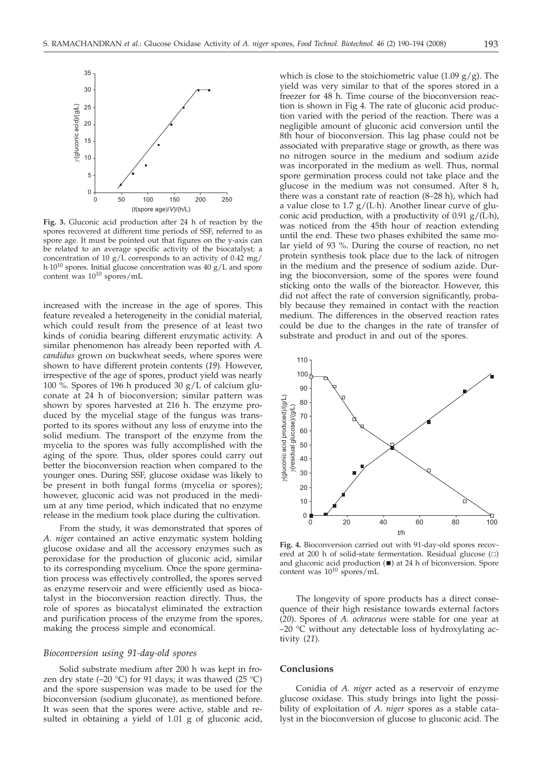

**Fig. 3.** Gluconic acid production after 24 h of reaction by the spores recovered at different time periods of SSF, referred to as spore age. It must be pointed out that figures on the y-axis can be related to an average specific activity of the biocatalyst; a concentration of 10  $g/L$  corresponds to an activity of 0.42 mg/ h·1010 spores. Initial glucose concentration was 40 g/L and spore content was  $10^{10}$  spores/mL

increased with the increase in the age of spores. This feature revealed a heterogeneity in the conidial material, which could result from the presence of at least two kinds of conidia bearing different enzymatic activity. A similar phenomenon has already been reported with *A. candidus* grown on buckwheat seeds, where spores were shown to have different protein contents (*19*)*.* However, irrespective of the age of spores, product yield was nearly 100 %. Spores of 196 h produced 30  $g/L$  of calcium gluconate at 24 h of bioconversion; similar pattern was shown by spores harvested at 216 h. The enzyme produced by the mycelial stage of the fungus was transported to its spores without any loss of enzyme into the solid medium. The transport of the enzyme from the mycelia to the spores was fully accomplished with the aging of the spore. Thus, older spores could carry out better the bioconversion reaction when compared to the younger ones. During SSF, glucose oxidase was likely to be present in both fungal forms (mycelia or spores); however, gluconic acid was not produced in the medium at any time period, which indicated that no enzyme release in the medium took place during the cultivation.

From the study, it was demonstrated that spores of *A. niger* contained an active enzymatic system holding glucose oxidase and all the accessory enzymes such as peroxidase for the production of gluconic acid, similar to its corresponding mycelium. Once the spore germination process was effectively controlled, the spores served as enzyme reservoir and were efficiently used as biocatalyst in the bioconversion reaction directly. Thus, the role of spores as biocatalyst eliminated the extraction and purification process of the enzyme from the spores, making the process simple and economical.

## *Bioconversion using 91-day-old spores*

Solid substrate medium after 200 h was kept in frozen dry state (-20 °C) for 91 days; it was thawed (25 °C) and the spore suspension was made to be used for the bioconversion (sodium gluconate), as mentioned before. It was seen that the spores were active, stable and resulted in obtaining a yield of 1.01 g of gluconic acid,

which is close to the stoichiometric value (1.09  $g/g$ ). The yield was very similar to that of the spores stored in a freezer for 48 h. Time course of the bioconversion reaction is shown in Fig 4. The rate of gluconic acid production varied with the period of the reaction. There was a negligible amount of gluconic acid conversion until the 8th hour of bioconversion. This lag phase could not be associated with preparative stage or growth, as there was no nitrogen source in the medium and sodium azide was incorporated in the medium as well. Thus, normal spore germination process could not take place and the glucose in the medium was not consumed. After 8 h, there was a constant rate of reaction (8–28 h), which had a value close to  $1.7 g/(L \cdot h)$ . Another linear curve of gluconic acid production, with a productivity of  $0.91$  g/(L·h), was noticed from the 45th hour of reaction extending until the end. These two phases exhibited the same molar yield of 93 %. During the course of reaction, no net protein synthesis took place due to the lack of nitrogen in the medium and the presence of sodium azide. During the bioconversion, some of the spores were found sticking onto the walls of the bioreactor. However, this did not affect the rate of conversion significantly, probably because they remained in contact with the reaction medium. The differences in the observed reaction rates could be due to the changes in the rate of transfer of substrate and product in and out of the spores.



**Fig. 4.** Bioconversion carried out with 91-day-old spores recovered at 200 h of solid-state fermentation. Residual glucose  $\left( \Box \right)$ and gluconic acid production  $(\blacksquare)$  at 24 h of biconversion. Spore content was  $10^{10}$  spores/mL

The longevity of spore products has a direct consequence of their high resistance towards external factors (*20*). Spores of *A. ochraceus* were stable for one year at  $-20$  °C without any detectable loss of hydroxylating activity (*21*).

## **Conclusions**

Conidia of *A. niger* acted as a reservoir of enzyme glucose oxidase. This study brings into light the possibility of exploitation of *A. niger* spores as a stable catalyst in the bioconversion of glucose to gluconic acid. The